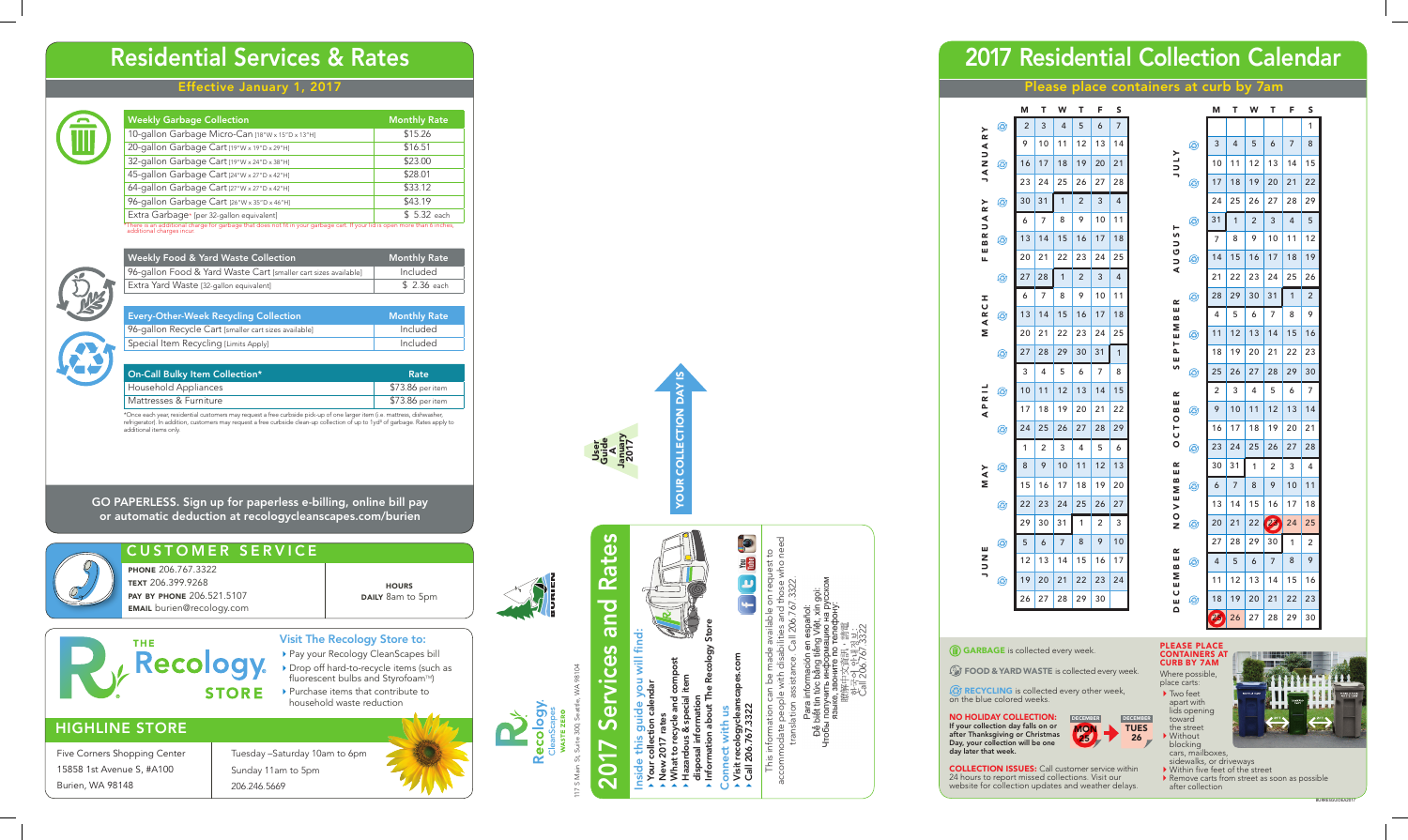### Effective January 1, 2017

117 S Main St, Suite 300, Seattle, WA 98104  $\overline{\overline{\overline{O}}}$ Re Sť, S Mã

### Residential Services & Rates

## Rates 2017 Services and Rates and **Ces** ervi  $\boldsymbol{\mathsf{S}}$ 201

### HIGHLINE STORE

Five Corners Shopping Center 15858 1st Avenue S, #A100 Burien, WA 98148

- ▶ Pay your Recology CleanScapes bill
- Drop off hard-to-recycle items (such as fluorescent bulbs and Styrofoam™)
- ▶ Purchase items that contribute to household waste reduction

Tuesday –Saturday 10am to 6pm Sunday 11am to 5pm 206.246.5669



### Visit The Recology Store to:

**PHONE 206.767.3322** TEXT 206.399.9268 pay by phone 206.521.5107 email burien@recology.com

**Recology** 

**STORE** 

#### **HOURS** DAILY 8am to 5pm

I,



# Inside this guide you will find: find:  $\frac{1}{2}$ s guide you v

- Your collection calendar de thi:<br>pur colle<br>ew 2017
	- New 2017 rates ဇ
- What to recycle and compost Hazardous & special item
- $\frac{5}{2}$ disposal information<br>Information about The R disposal information
- Information about The Recology Store
	- Connect with us
	- Visit recologycleanscapes.com Connect with us<br>• Visit recologycleans<br>• Call 206.767.3322

accommodate people with disabilities and those who need This information can be made available on request to p e translation assistance. Call 206.767.3322. tra

### CUSTOMER SERVICE

Call 206.767.3322 ne<br>Déla

**(2) RECYCLING** is collected every other week, on the blue colored weeks.





- ▶ Two feet apart with lids opening toward the street ▶ Without
- blocking cars, mailboxes,
- sidewalks, or driveways<br>• Within five feet of the street
- 
- $\blacktriangleright$  Remove carts from street as soon as possible after collection



### 2017 Residential Collection Calendar

NO HOLIDAY COLLECTION: If your collection day falls on or after Thanksgiving or Christmas Day, your collection will be one day later that week.

COLLECTION ISSUES: Call customer service within 24 hours to report missed collections. Visit our website for collection updates and weather delays.

#### PLEASE PLACE CONTAINERS AT CURB BY 7AM

Where possible, place carts:





#### Please place containers at curb by 7am

| <b>Weekly Garbage Collection</b>                                                                                                                        | <b>Monthly Rate</b> |
|---------------------------------------------------------------------------------------------------------------------------------------------------------|---------------------|
| 10-gallon Garbage Micro-Can [18"W x 15"D x 13"H]                                                                                                        | \$15.26             |
| 20-gallon Garbage Cart [19"W x 19"D x 29"H]                                                                                                             | \$16.51             |
| 32-gallon Garbage Cart [19"W x 24"D x 38"H]                                                                                                             | \$23.00             |
| 45-gallon Garbage Cart [24"W x 27"D x 42"H]                                                                                                             | \$28.01             |
| 64-gallon Garbage Cart [27"W x 27"D x 42"H]                                                                                                             | \$33.12             |
| 96-gallon Garbage Cart [26"W x 35"D x 46"H]                                                                                                             | \$43.19             |
| Extra Garbage* [per 32-gallon equivalent]                                                                                                               | \$ 5.32 each        |
| *There is an additional charge for garbage that does not fit in your garbage cart. If your lid is open more than 6 inches,<br>additional charges incur. |                     |



fil

| <b>Weekly Food &amp; Yard Waste Collection</b>                  | <b>Monthly Rate</b> |
|-----------------------------------------------------------------|---------------------|
| 96-gallon Food & Yard Waste Cart [smaller cart sizes available] | Included            |
| Extra Yard Waste [32-gallon equivalent]                         | \$ 2.36 each        |

| <b>Every-Other-Week Recycling Collection</b>          | <b>Monthly Rate</b> |
|-------------------------------------------------------|---------------------|
| 96-gallon Recycle Cart [smaller cart sizes available] | Included            |
| Special Item Recycling [Limits Apply]                 | Included            |

| On-Call Bulky Item Collection* | Rate             |
|--------------------------------|------------------|
| Household Appliances           | \$73.86 per item |
| Mattresses & Furniture         | \$73.86 per item |
|                                |                  |

\*Once each year, residential customers may request a free curbside pick-up of one larger item (i.e. mattress, dishwasher, refrigerator). In addition, customers may request a free curbside clean-up collection of up to 1yd³ of garbage. Rates apply to additional items only.

GO PAPERLESS. Sign up for paperless e-billing, online bill pay or automatic deduction at recologycleanscapes.com/burien

User Guide

|                                                   | S  |
|---------------------------------------------------|----|
| $\overline{c}$<br>Ø<br>3<br>4<br>5<br>6<br>$\geq$ | 7  |
| 9<br>10<br>11<br>12<br>13                         | 14 |
| A<br>D<br>Z<br>17<br>18<br>19<br>16<br>20<br>⊛    | 21 |
| $\overline{4}$<br>23<br>25<br>24<br>26<br>27      | 28 |
| 30<br>31<br>1<br>2<br>3<br>≻<br>⊛                 | 4  |
| œ<br>⋖<br>9<br>10<br>8<br>6<br>7<br>っ             | 11 |
| œ<br>13<br>14<br>15<br>16<br>17<br>☺<br>≃         | 18 |
| ш<br>20<br>21<br>22<br>23<br>24<br>Щ              | 25 |
| 27<br>28<br>1<br>2<br>3<br>⊛                      | 4  |
| 8<br>9<br>10<br>7<br>6<br>I<br>U                  | 11 |
| œ<br>13<br>14<br>15<br>16<br>17<br>☺              | 18 |
|                                                   |    |
| M<br>M<br>20<br>21<br>22<br>23<br>24              | 25 |
| 27<br>28<br>29<br>30<br>31<br>۵                   | 1  |
| 3<br>4<br>5<br>7<br>6                             | 8  |
| 11<br>12<br>13<br>10<br>14<br>٨                   | 15 |
| <u>~</u><br>17<br>19<br>21<br>18<br>20            | 22 |
| –<br>∡<br>24<br>25<br>26<br>27<br>28<br>⊛         | 29 |
| 1<br>2<br>3<br>4<br>5                             | 6  |
| 8<br>9<br>10<br>11<br>12<br>☺                     | 13 |
| MAY<br>15<br>17<br>19<br>16<br>18                 | 20 |
| 22<br>23<br>25<br>26<br>24<br>☺                   | 27 |
| 29<br>30<br>31<br>1<br>2                          | 3  |
| 8<br>9<br>5<br>6<br>7<br>☺                        | 10 |
| ш<br>15<br>12<br>13<br>14<br>16                   | 17 |
| NUV<br>19<br>20<br>21<br>22<br>23<br>٨            | 24 |

|                   |   | M  | Т  | W  | Т               | F              | S  |
|-------------------|---|----|----|----|-----------------|----------------|----|
|                   |   |    |    |    |                 |                | 1  |
|                   | ٨ | 3  | 4  | 5  | 6               | 7              | 8  |
| <b>ATNE</b>       |   | 10 | 11 | 12 | 13              | 14             | 15 |
|                   | ☺ | 17 | 18 | 19 | 20              | 21             | 22 |
|                   |   | 24 | 25 | 26 | 27              | 28             | 29 |
| ۳                 | ٨ | 31 | 1  | 2  | 3               | $\overline{4}$ | 5  |
| s<br>D            |   | 7  | 8  | 9  | 10              | 11             | 12 |
| こく                | Ø | 14 | 15 | 16 | 17              | 18             | 19 |
|                   |   | 21 | 22 | 23 | 24              | 25             | 26 |
| œ                 | ☺ | 28 | 29 | 30 | 31              | 1              | 2  |
| ш<br>m            |   | 4  | 5  | 6  | 7               | 8              | 9  |
| Σ<br>PTE          | Ø | 11 | 12 | 13 | 14              | 15             | 16 |
| ш                 |   | 18 | 19 | 20 | 21              | 22             | 23 |
| S                 | ☺ | 25 | 26 | 27 | 28              | 29             | 30 |
| ≃                 |   | 2  | 3  | 4  | 5               | 6              | 7  |
| ш<br>≃<br>$\circ$ | ٨ | 9  | 10 | 11 | 12              | 13             | 14 |
| T<br>O            |   | 16 | 17 | 18 | 19              | 20             | 21 |
|                   | ☺ | 23 | 24 | 25 | 26              | 27             | 28 |
| œ<br>ш            |   | 30 | 31 | 1  | 2               | 3              | 4  |
| B<br>Σ            | ۞ | 6  | 7  | 8  | 9               | 10             | 11 |
| ш<br>$\geq$       |   | 13 | 14 | 15 | 16              | 17             | 18 |
| $\circ$<br>Z      | ٨ | 20 | 21 | 22 | $\mathcal{P}_2$ | 24             | 25 |
| œ                 |   | 27 | 28 | 29 | 30              | 1              | 2  |
| ш<br>m            | Ø | 4  | 5  | 6  | 7               | 8              | 9  |
| Σ<br>ш            |   | 11 | 12 | 13 | 14              | 15             | 16 |
| ပ<br>ш            | ٨ | 18 | 19 | 20 | 21              | 22             | 23 |
| ≏                 |   | Ds | 26 | 27 | 28              | 29             | 30 |

**GARBAGE** is collected every week.

FOOD & YARD WASTE is collected every week.